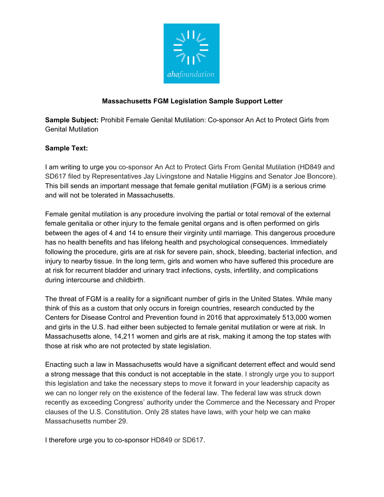

## **Massachusetts FGM Legislation Sample Support Letter**

**Sample Subject:** Prohibit Female Genital Mutilation: Co-sponsor An Act to Protect Girls from Genital Mutilation

## **Sample Text:**

I am writing to urge you co-sponsor An Act to Protect Girls From Genital Mutilation (HD849 and SD617 filed by Representatives Jay Livingstone and Natalie Higgins and Senator Joe Boncore). This bill sends an important message that female genital mutilation (FGM) is a serious crime and will not be tolerated in Massachusetts.

Female genital mutilation is any procedure involving the partial or total removal of the external female genitalia or other injury to the female genital organs and is often performed on girls between the ages of 4 and 14 to ensure their virginity until marriage. This dangerous procedure has no health benefits and has lifelong health and psychological consequences. Immediately following the procedure, girls are at risk for severe pain, shock, bleeding, bacterial infection, and injury to nearby tissue. In the long term, girls and women who have suffered this procedure are at risk for recurrent bladder and urinary tract infections, cysts, infertility, and complications during intercourse and childbirth.

The threat of FGM is a reality for a significant number of girls in the United States. While many think of this as a custom that only occurs in foreign countries, research conducted by the Centers for Disease Control and Prevention found in 2016 that approximately 513,000 women and girls in the U.S. had either been subjected to female genital mutilation or were at risk. In Massachusetts alone, 14,211 women and girls are at risk, making it among the top states with those at risk who are not protected by state legislation.

Enacting such a law in Massachusetts would have a significant deterrent effect and would send a strong message that this conduct is not acceptable in the state. I strongly urge you to support this legislation and take the necessary steps to move it forward in your leadership capacity as we can no longer rely on the existence of the federal law. The federal law was struck down recently as exceeding Congress' authority under the Commerce and the Necessary and Proper clauses of the U.S. Constitution. Only 28 states have laws, with your help we can make Massachusetts number 29.

I therefore urge you to co-sponsor HD849 or SD617.